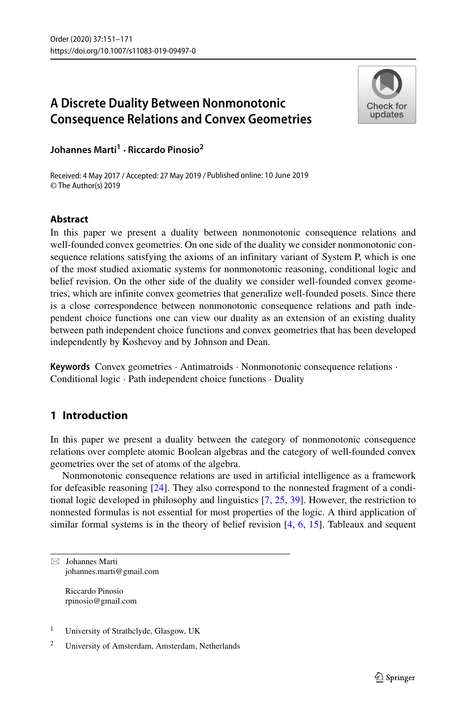# **A Discrete Duality Between Nonmonotonic Consequence Relations and Convex Geometries**



**Johannes Marti<sup>1</sup> · Riccardo Pinosio<sup>2</sup>**

Received: 4 May 2017 / Accepted: 27 May 2019 / Published online: 10 June 2019© The Author(s) 2019

## **Abstract**

In this paper we present a duality between nonmonotonic consequence relations and well-founded convex geometries. On one side of the duality we consider nonmonotonic consequence relations satisfying the axioms of an infinitary variant of System P, which is one of the most studied axiomatic systems for nonmonotonic reasoning, conditional logic and belief revision. On the other side of the duality we consider well-founded convex geometries, which are infinite convex geometries that generalize well-founded posets. Since there is a close correspondence between nonmonotonic consequence relations and path independent choice functions one can view our duality as an extension of an existing duality between path independent choice functions and convex geometries that has been developed independently by Koshevoy and by Johnson and Dean.

**Keywords** Convex geometries · Antimatroids · Nonmonotonic consequence relations · Conditional logic · Path independent choice functions · Duality

## **1 Introduction**

In this paper we present a duality between the category of nonmonotonic consequence relations over complete atomic Boolean algebras and the category of well-founded convex geometries over the set of atoms of the algebra.

Nonmonotonic consequence relations are used in artificial intelligence as a framework for defeasible reasoning [\[24\]](#page-19-0). They also correspond to the nonnested fragment of a conditional logic developed in philosophy and linguistics [\[7,](#page-19-1) [25,](#page-19-2) [39\]](#page-20-0). However, the restriction to nonnested formulas is not essential for most properties of the logic. A third application of similar formal systems is in the theory of belief revision [\[4,](#page-19-3) [6,](#page-19-4) [15\]](#page-19-5). Tableaux and sequent

 $\boxtimes$  Johannes Marti [johannes.marti@gmail.com](mailto: johannes.marti@gmail.com)

> Riccardo Pinosio [rpinosio@gmail.com](mailto: rpinosio@gmail.com)

<sup>1</sup> University of Strathclyde, Glasgow, UK

<sup>2</sup> University of Amsterdam, Amsterdam, Netherlands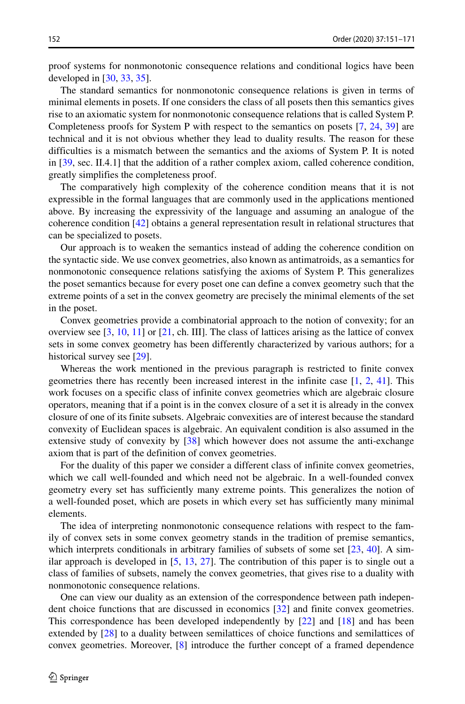proof systems for nonmonotonic consequence relations and conditional logics have been developed in [\[30,](#page-19-6) [33,](#page-19-7) [35\]](#page-19-8).

The standard semantics for nonmonotonic consequence relations is given in terms of minimal elements in posets. If one considers the class of all posets then this semantics gives rise to an axiomatic system for nonmonotonic consequence relations that is called System P. Completeness proofs for System P with respect to the semantics on posets [\[7,](#page-19-1) [24,](#page-19-0) [39\]](#page-20-0) are technical and it is not obvious whether they lead to duality results. The reason for these difficulties is a mismatch between the semantics and the axioms of System P. It is noted in [\[39,](#page-20-0) sec. II.4.1] that the addition of a rather complex axiom, called coherence condition, greatly simplifies the completeness proof.

The comparatively high complexity of the coherence condition means that it is not expressible in the formal languages that are commonly used in the applications mentioned above. By increasing the expressivity of the language and assuming an analogue of the coherence condition [\[42\]](#page-20-1) obtains a general representation result in relational structures that can be specialized to posets.

Our approach is to weaken the semantics instead of adding the coherence condition on the syntactic side. We use convex geometries, also known as antimatroids, as a semantics for nonmonotonic consequence relations satisfying the axioms of System P. This generalizes the poset semantics because for every poset one can define a convex geometry such that the extreme points of a set in the convex geometry are precisely the minimal elements of the set in the poset.

Convex geometries provide a combinatorial approach to the notion of convexity; for an overview see  $[3, 10, 11]$  $[3, 10, 11]$  $[3, 10, 11]$  $[3, 10, 11]$  $[3, 10, 11]$  or  $[21, ch. III]$  $[21, ch. III]$ . The class of lattices arising as the lattice of convex sets in some convex geometry has been differently characterized by various authors; for a historical survey see [\[29\]](#page-19-12).

Whereas the work mentioned in the previous paragraph is restricted to finite convex geometries there has recently been increased interest in the infinite case [\[1,](#page-18-1) [2,](#page-18-2) [41\]](#page-20-2). This work focuses on a specific class of infinite convex geometries which are algebraic closure operators, meaning that if a point is in the convex closure of a set it is already in the convex closure of one of its finite subsets. Algebraic convexities are of interest because the standard convexity of Euclidean spaces is algebraic. An equivalent condition is also assumed in the extensive study of convexity by [\[38\]](#page-20-3) which however does not assume the anti-exchange axiom that is part of the definition of convex geometries.

For the duality of this paper we consider a different class of infinite convex geometries, which we call well-founded and which need not be algebraic. In a well-founded convex geometry every set has sufficiently many extreme points. This generalizes the notion of a well-founded poset, which are posets in which every set has sufficiently many minimal elements.

The idea of interpreting nonmonotonic consequence relations with respect to the family of convex sets in some convex geometry stands in the tradition of premise semantics, which interprets conditionals in arbitrary families of subsets of some set [\[23,](#page-19-13) [40\]](#page-20-4). A similar approach is developed in [\[5,](#page-19-14) [13,](#page-19-15) [27\]](#page-19-16). The contribution of this paper is to single out a class of families of subsets, namely the convex geometries, that gives rise to a duality with nonmonotonic consequence relations.

One can view our duality as an extension of the correspondence between path independent choice functions that are discussed in economics [\[32\]](#page-19-17) and finite convex geometries. This correspondence has been developed independently by [\[22\]](#page-19-18) and [\[18\]](#page-19-19) and has been extended by [\[28\]](#page-19-20) to a duality between semilattices of choice functions and semilattices of convex geometries. Moreover, [\[8\]](#page-19-21) introduce the further concept of a framed dependence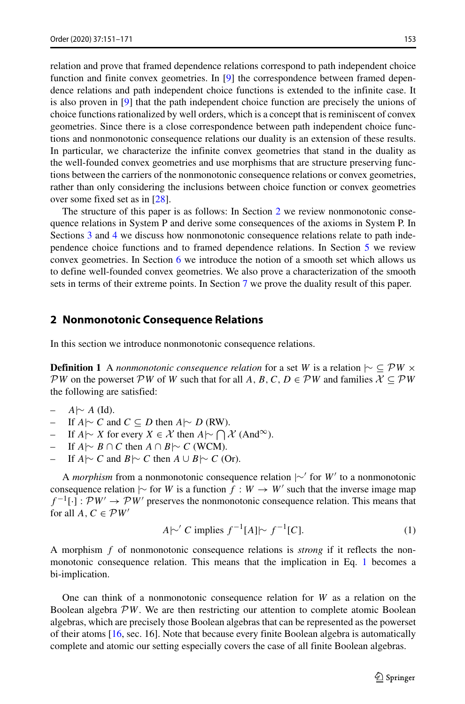relation and prove that framed dependence relations correspond to path independent choice function and finite convex geometries. In [\[9\]](#page-19-22) the correspondence between framed dependence relations and path independent choice functions is extended to the infinite case. It is also proven in [\[9\]](#page-19-22) that the path independent choice function are precisely the unions of choice functions rationalized by well orders, which is a concept that is reminiscent of convex geometries. Since there is a close correspondence between path independent choice functions and nonmonotonic consequence relations our duality is an extension of these results. In particular, we characterize the infinite convex geometries that stand in the duality as the well-founded convex geometries and use morphisms that are structure preserving functions between the carriers of the nonmonotonic consequence relations or convex geometries, rather than only considering the inclusions between choice function or convex geometries over some fixed set as in [\[28\]](#page-19-20).

The structure of this paper is as follows: In Section [2](#page-2-0) we review nonmonotonic consequence relations in System P and derive some consequences of the axioms in System P. In Sections [3](#page-4-0) and [4](#page-6-0) we discuss how nonmonotonic consequence relations relate to path independence choice functions and to framed dependence relations. In Section [5](#page-7-0) we review convex geometries. In Section  $6$  we introduce the notion of a smooth set which allows us to define well-founded convex geometries. We also prove a characterization of the smooth sets in terms of their extreme points. In Section [7](#page-13-0) we prove the duality result of this paper.

#### <span id="page-2-0"></span>**2 Nonmonotonic Consequence Relations**

In this section we introduce nonmonotonic consequence relations.

**Definition 1** A *nonmonotonic consequence relation* for a set *W* is a relation  $\sim \subseteq \mathcal{P}W \times$  $PW$  on the powerset  $PW$  of *W* such that for all *A*, *B*, *C*, *D*  $\in \mathcal{PW}$  and families  $X \subseteq PW$ the following are satisfied:

- *A*|∼ *A* (Id).
- If *A*|∼ *C* and *C* ⊆ *D* then *A*|∼ *D* (RW).
- $\vdash$  If *A*|∼ *X* for every *X* ∈ *X* then *A*|∼  $\bigcap$  *X* (And<sup>∞</sup>).
- If  $A \sim B \cap C$  then  $A \cap B \sim C$  (WCM).
- If *A*|∼ *C* and *B*|∼ *C* then *A* ∪ *B*|∼ *C* (Or).

A *morphism* from a nonmonotonic consequence relation  $\sim$  for *W* to a nonmonotonic consequence relation  $\sim$  for *W* is a function  $f : W \to W'$  such that the inverse image map  $f^{-1}[\cdot]: \mathcal{P}W' \to \mathcal{P}W'$  preserves the nonmonotonic consequence relation. This means that for all  $A, C \in \mathcal{P}W'$ 

<span id="page-2-1"></span>
$$
A \sim' C \text{ implies } f^{-1}[A] \sim f^{-1}[C]. \tag{1}
$$

A morphism *f* of nonmonotonic consequence relations is *strong* if it reflects the nonmonotonic consequence relation. This means that the implication in Eq. [1](#page-2-1) becomes a bi-implication.

One can think of a nonmonotonic consequence relation for *W* as a relation on the Boolean algebra P*W*. We are then restricting our attention to complete atomic Boolean algebras, which are precisely those Boolean algebras that can be represented as the powerset of their atoms [\[16,](#page-19-23) sec. 16]. Note that because every finite Boolean algebra is automatically complete and atomic our setting especially covers the case of all finite Boolean algebras.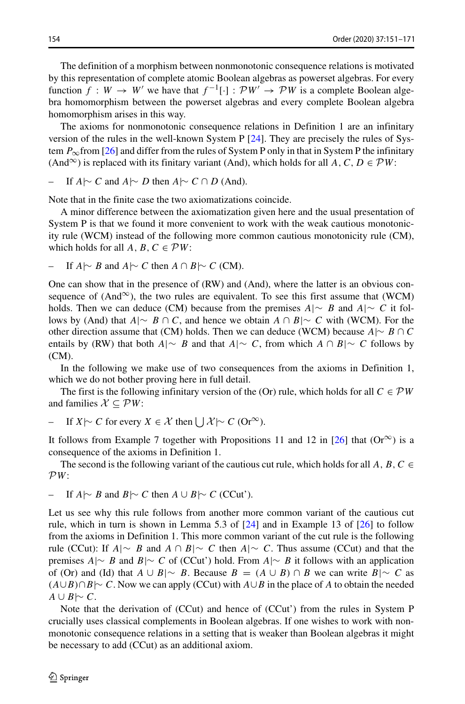The definition of a morphism between nonmonotonic consequence relations is motivated by this representation of complete atomic Boolean algebras as powerset algebras. For every function  $f : W \to W'$  we have that  $f^{-1}[\cdot] : \mathcal{P}W' \to \mathcal{P}W$  is a complete Boolean algebra homomorphism between the powerset algebras and every complete Boolean algebra homomorphism arises in this way.

The axioms for nonmonotonic consequence relations in Definition 1 are an infinitary version of the rules in the well-known System P [\[24\]](#page-19-0). They are precisely the rules of System  $P_{\infty}$ from [\[26\]](#page-19-24) and differ from the rules of System P only in that in System P the infinitary (And<sup>∞</sup>) is replaced with its finitary variant (And), which holds for all *A*, *C*, *D*  $\in \mathcal{PW}$ :

- If 
$$
A \sim C
$$
 and  $A \sim D$  then  $A \sim C \cap D$  (And).

Note that in the finite case the two axiomatizations coincide.

A minor difference between the axiomatization given here and the usual presentation of System P is that we found it more convenient to work with the weak cautious monotonicity rule (WCM) instead of the following more common cautious monotonicity rule (CM), which holds for all  $A, B, C \in \mathcal{P}W$ :

- If 
$$
A \sim B
$$
 and  $A \sim C$  then  $A \cap B \sim C$  (CM).

One can show that in the presence of (RW) and (And), where the latter is an obvious consequence of  $(And^{\infty})$ , the two rules are equivalent. To see this first assume that  $(WCM)$ holds. Then we can deduce (CM) because from the premises  $A \sim B$  and  $A \sim C$  it follows by (And) that *A*|∼ *B* ∩ *C*, and hence we obtain *A* ∩ *B*|∼ *C* with (WCM). For the other direction assume that (CM) holds. Then we can deduce (WCM) because  $A \sim B \cap C$ entails by (RW) that both *A*|∼ *B* and that *A*|∼ *C*, from which *A* ∩ *B*|∼ *C* follows by (CM).

In the following we make use of two consequences from the axioms in Definition 1, which we do not bother proving here in full detail.

The first is the following infinitary version of the (Or) rule, which holds for all  $C \in \mathcal{PW}$ and families  $X \subseteq \mathcal{P}W$ :

- If 
$$
X \sim C
$$
 for every  $X \in \mathcal{X}$  then  $\bigcup \mathcal{X} \sim C$  (Or <sup>$\infty$</sup> ).

It follows from Example 7 together with Propositions 11 and 12 in [\[26\]](#page-19-24) that  $(Or^{\infty})$  is a consequence of the axioms in Definition 1.

The second is the following variant of the cautious cut rule, which holds for all A, B, C P*W*:

- If 
$$
A \sim B
$$
 and  $B \sim C$  then  $A \cup B \sim C$  (CCut').

Let us see why this rule follows from another more common variant of the cautious cut rule, which in turn is shown in Lemma 5.3 of [\[24\]](#page-19-0) and in Example 13 of [\[26\]](#page-19-24) to follow from the axioms in Definition 1. This more common variant of the cut rule is the following rule (CCut): If *A*|∼ *B* and *A* ∩ *B*|∼ *C* then *A*|∼ *C*. Thus assume (CCut) and that the premises *A*|∼ *B* and *B*|∼ *C* of (CCut') hold. From *A*|∼ *B* it follows with an application of (Or) and (Id) that  $A \cup B \sim B$ . Because  $B = (A \cup B) \cap B$  we can write  $B \sim C$  as  $(A \cup B) \cap B$ |∼ *C*. Now we can apply (CCut) with  $A \cup B$  in the place of *A* to obtain the needed *A* ∪ *B*| $∼$  *C*.

Note that the derivation of (CCut) and hence of (CCut') from the rules in System P crucially uses classical complements in Boolean algebras. If one wishes to work with nonmonotonic consequence relations in a setting that is weaker than Boolean algebras it might be necessary to add (CCut) as an additional axiom.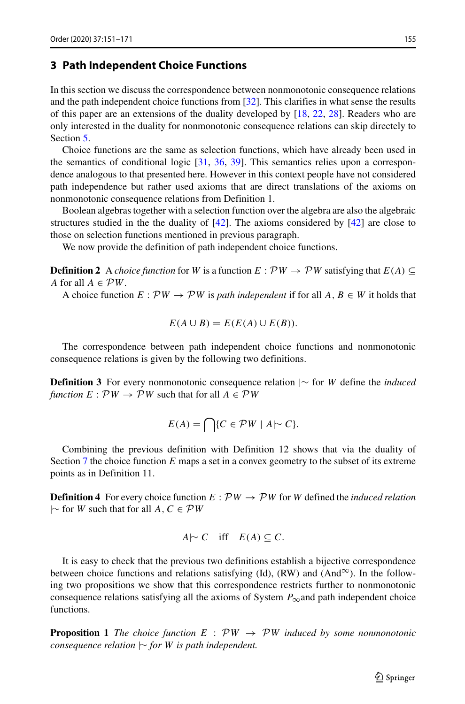#### <span id="page-4-0"></span>**3 Path Independent Choice Functions**

In this section we discuss the correspondence between nonmonotonic consequence relations and the path independent choice functions from [\[32\]](#page-19-17). This clarifies in what sense the results of this paper are an extensions of the duality developed by [\[18,](#page-19-19) [22,](#page-19-18) [28\]](#page-19-20). Readers who are only interested in the duality for nonmonotonic consequence relations can skip directely to Section [5.](#page-7-0)

Choice functions are the same as selection functions, which have already been used in the semantics of conditional logic [\[31,](#page-19-25) [36,](#page-19-26) [39\]](#page-20-0). This semantics relies upon a correspondence analogous to that presented here. However in this context people have not considered path independence but rather used axioms that are direct translations of the axioms on nonmonotonic consequence relations from Definition 1.

Boolean algebras together with a selection function over the algebra are also the algebraic structures studied in the the duality of  $[42]$ . The axioms considered by  $[42]$  are close to those on selection functions mentioned in previous paragraph.

We now provide the definition of path independent choice functions.

**Definition 2** A *choice function* for *W* is a function  $E : \mathcal{P}W \rightarrow \mathcal{P}W$  satisfying that  $E(A) \subseteq$ *A* for all  $A \in \mathcal{P}W$ .

A choice function  $E: \mathcal{P}W \to \mathcal{P}W$  is *path independent* if for all  $A, B \in W$  it holds that

$$
E(A \cup B) = E(E(A) \cup E(B)).
$$

The correspondence between path independent choice functions and nonmonotonic consequence relations is given by the following two definitions.

**Definition 3** For every nonmonotonic consequence relation |∼ for *W* define the *induced function*  $E: \mathcal{P}W \to \mathcal{P}W$  such that for all  $A \in \mathcal{P}W$ 

$$
E(A) = \bigcap \{ C \in \mathcal{P}W \mid A \sim C \}.
$$

Combining the previous definition with Definition 12 shows that via the duality of Section [7](#page-13-0) the choice function *E* maps a set in a convex geometry to the subset of its extreme points as in Definition 11.

**Definition 4** For every choice function  $E : \mathcal{P}W \rightarrow \mathcal{P}W$  for *W* defined the *induced relation* |∼ for *W* such that for all *A, C* ∈ P*W*

$$
A \sim C \quad \text{iff} \quad E(A) \subseteq C.
$$

It is easy to check that the previous two definitions establish a bijective correspondence between choice functions and relations satisfying (Id), (RW) and (And<sup>∞</sup>). In the following two propositions we show that this correspondence restricts further to nonmonotonic consequence relations satisfying all the axioms of System  $P_{\infty}$  and path independent choice functions.

**Proposition 1** *The choice function*  $E : PW \rightarrow PW$  *induced by some nonmonotonic consequence relation* |∼ *for W is path independent.*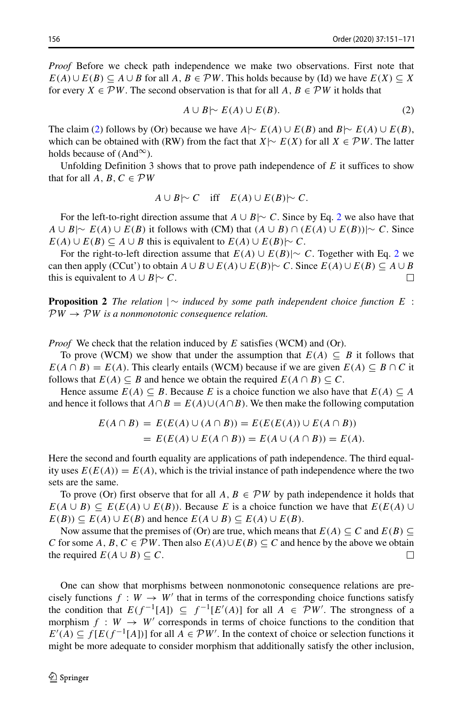*Proof* Before we check path independence we make two observations. First note that  $E(A) \cup E(B) \subseteq A \cup B$  for all  $A, B \in \mathcal{P}W$ . This holds because by (Id) we have  $E(X) \subseteq X$ for every  $X \in \mathcal{P}W$ . The second observation is that for all  $A, B \in \mathcal{P}W$  it holds that

<span id="page-5-0"></span>
$$
A \cup B \sim E(A) \cup E(B). \tag{2}
$$

The claim [\(2\)](#page-5-0) follows by (Or) because we have  $A \sim E(A) \cup E(B)$  and  $B \sim E(A) \cup E(B)$ , which can be obtained with (RW) from the fact that *X*|∼  $E(X)$  for all  $X \in \mathcal{P}W$ . The latter holds because of  $(And^{\infty})$ .

Unfolding Definition 3 shows that to prove path independence of *E* it suffices to show that for all  $A, B, C \in \mathcal{P}W$ 

$$
A \cup B \sim C \quad \text{iff} \quad E(A) \cup E(B) \sim C.
$$

For the left-to-right direction assume that *A* ∪ *B*|∼ *C*. Since by Eq. [2](#page-5-0) we also have that *A* ∪ *B*|∼ *E(A)* ∪ *E(B)* it follows with (CM) that  $(A \cup B) \cap (E(A) \cup E(B))$ |∼ *C*. Since *E(A)* ∪  $E(B) \subseteq A \cup B$  this is equivalent to  $E(A) \cup E(B) \sim C$ .

For the right-to-left direction assume that  $E(A) \cup E(B)| \sim C$ . Together with Eq. [2](#page-5-0) we can then apply (CCut') to obtain  $A \cup B \cup E(A) \cup E(B) \sim C$ . Since  $E(A) \cup E(B) \subseteq A \cup B$ <br>this is equivalent to  $A \cup B \sim C$ . this is equivalent to *A* ∪ *B*| $\sim$  *C*.

**Proposition 2** *The relation* |∼ *induced by some path independent choice function E* :  $PW \rightarrow PW$  *is a nonmonotonic consequence relation.* 

*Proof* We check that the relation induced by *E* satisfies (WCM) and (Or).

To prove (WCM) we show that under the assumption that  $E(A) \subseteq B$  it follows that  $E(A \cap B) = E(A)$ . This clearly entails (WCM) because if we are given  $E(A) \subseteq B \cap C$  it follows that  $E(A) \subseteq B$  and hence we obtain the required  $E(A \cap B) \subseteq C$ .

Hence assume  $E(A) \subseteq B$ . Because *E* is a choice function we also have that  $E(A) \subseteq A$ and hence it follows that  $A \cap B = E(A) \cup (A \cap B)$ . We then make the following computation

$$
E(A \cap B) = E(E(A) \cup (A \cap B)) = E(E(E(A)) \cup E(A \cap B))
$$
  
= 
$$
E(E(A) \cup E(A \cap B)) = E(A \cup (A \cap B)) = E(A).
$$

Here the second and fourth equality are applications of path independence. The third equality uses  $E(E(A)) = E(A)$ , which is the trivial instance of path independence where the two sets are the same.

To prove (Or) first observe that for all  $A, B \in \mathcal{P}W$  by path independence it holds that *E*(*A* ∪ *B*) ⊆ *E*(*E*(*A*) ∪ *E*(*B*)). Because *E* is a choice function we have that *E*(*E*(*A*) ∪ *E(B)*) ⊆ *E(A)* ∪ *E(B)* and hence  $E(A \cup B)$  ⊆  $E(A) \cup E(B)$ .

Now assume that the premises of (Or) are true, which means that  $E(A) \subseteq C$  and  $E(B) \subseteq$ *C* for some *A*, *B*,  $C \in \mathcal{P}W$ . Then also  $E(A) \cup E(B) \subseteq C$  and hence by the above we obtain the required  $E(A \cup B) \subseteq C$ . the required  $E(A \cup B) \subseteq C$ .

One can show that morphisms between nonmonotonic consequence relations are precisely functions  $f : W \to W'$  that in terms of the corresponding choice functions satisfy the condition that  $E(f^{-1}[A]) \subseteq f^{-1}[E'(A)]$  for all  $A \in \mathcal{P}W'$ . The strongness of a morphism  $f : W \to W'$  corresponds in terms of choice functions to the condition that  $E'(A) \subseteq f[E(f^{-1}[A])]$  for all  $A \in \mathcal{P}W'$ . In the context of choice or selection functions it might be more adequate to consider morphism that additionally satisfy the other inclusion,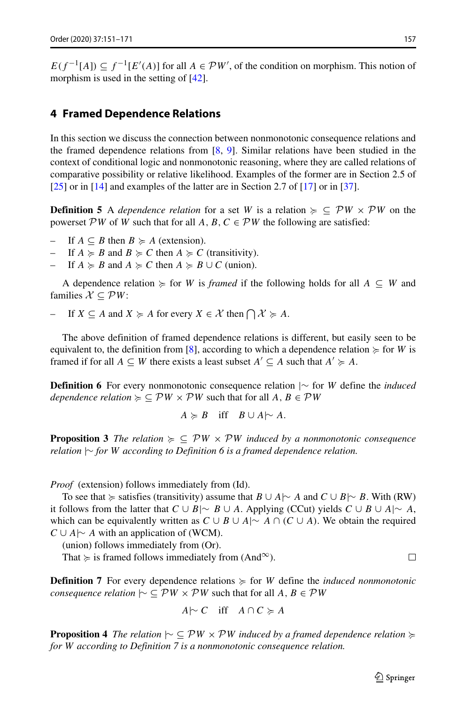$E(f^{-1}[A]) \subseteq f^{-1}[E'(A)]$  for all  $A \in \mathcal{P}W'$ , of the condition on morphism. This notion of morphism is used in the setting of  $[42]$ .

#### <span id="page-6-0"></span>**4 Framed Dependence Relations**

In this section we discuss the connection between nonmonotonic consequence relations and the framed dependence relations from [\[8,](#page-19-21) [9\]](#page-19-22). Similar relations have been studied in the context of conditional logic and nonmonotonic reasoning, where they are called relations of comparative possibility or relative likelihood. Examples of the former are in Section 2.5 of [\[25\]](#page-19-2) or in [\[14\]](#page-19-27) and examples of the latter are in Section 2.7 of [\[17\]](#page-19-28) or in [\[37\]](#page-19-29).

**Definition 5** A *dependence relation* for a set *W* is a relation  $\succ \subseteq \mathcal{P}W \times \mathcal{P}W$  on the powerset PW of *W* such that for all *A*, *B*,  $C \in \mathcal{P}W$  the following are satisfied:

- $-$  If *A* ⊆ *B* then *B*  $\succeq$  *A* (extension).
- $-$  If  $A \ge B$  and  $B \ge C$  then  $A \ge C$  (transitivity).
- *−* If  $A \ge B$  and  $A \ge C$  then  $A \ge B \cup C$  (union).

A dependence relation  $\succcurlyeq$  for *W* is *framed* if the following holds for all  $A \subseteq W$  and families  $X \subseteq \mathcal{P}W$ :

*→* If  $X \subseteq A$  and  $X \succcurlyeq A$  for every  $X \in \mathcal{X}$  then  $\bigcap \mathcal{X} \succcurlyeq A$ .

The above definition of framed dependence relations is different, but easily seen to be equivalent to, the definition from [\[8\]](#page-19-21), according to which a dependence relation  $\succeq$  for *W* is framed if for all  $A \subseteq W$  there exists a least subset  $A' \subseteq A$  such that  $A' \geq A$ .

**Definition 6** For every nonmonotonic consequence relation |∼ for *W* define the *induced*  $dependence relation \geq \subseteq \mathcal{P}W \times \mathcal{P}W$  such that for all  $A, B \in \mathcal{P}W$ 

$$
A \succcurlyeq B \quad \text{iff} \quad B \cup A \sim A.
$$

**Proposition 3** *The relation*  $\succ \subseteq PW \times PW$  *induced by a nonmonotonic consequence relation* |∼ *for W according to Definition 6 is a framed dependence relation.*

*Proof* (extension) follows immediately from (Id).

To see that  $\succcurlyeq$  satisfies (transitivity) assume that  $B \cup A \sim A$  and  $C \cup B \sim B$ . With (RW) it follows from the latter that *C* ∪ *B*|∼ *B* ∪ *A*. Applying (CCut) yields *C* ∪ *B* ∪ *A*|∼ *A*, which can be equivalently written as  $C \cup B \cup A \sim A \cap (C \cup A)$ . We obtain the required *C* ∪ *A*|∼ *A* with an application of (WCM).

(union) follows immediately from (Or).

That  $\succcurlyeq$  is framed follows immediately from (And<sup>∞</sup>).

**Definition 7** For every dependence relations  $\succeq$  for *W* define the *induced nonmonotonic consequence relation*  $\sim \subseteq \mathcal{P}W \times \mathcal{P}W$  such that for all  $A, B \in \mathcal{P}W$ 

$$
A \sim C \quad \text{iff} \quad A \cap C \succcurlyeq A
$$

**Proposition 4** *The relation* |∼ ⊆ P*W* × P*W induced by a framed dependence relation for W according to Definition 7 is a nonmonotonic consequence relation.*

□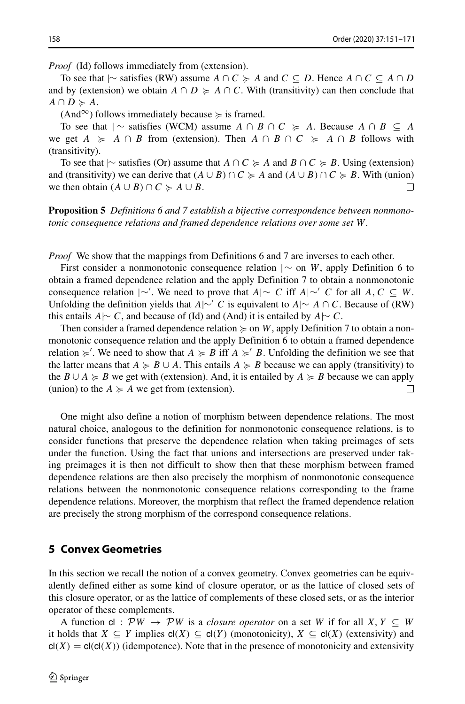*Proof* (Id) follows immediately from (extension).

To see that  $| \sim$  satisfies (RW) assume *A* ∩ *C*  $\succcurlyeq$  *A* and *C* ⊆ *D*. Hence *A* ∩ *C* ⊆ *A* ∩ *D* and by (extension) we obtain  $A \cap D \succcurlyeq A \cap C$ . With (transitivity) can then conclude that  $A \cap D \succcurlyeq A$ .

 $(And^{\infty})$  follows immediately because  $\succcurlyeq$  is framed.

To see that  $| \sim$  satisfies (WCM) assume  $A \cap B \cap C \geq A$ . Because  $A \cap B \subseteq A$ we get  $A \geq A \cap B$  from (extension). Then  $A \cap B \cap C \geq A \cap B$  follows with (transitivity).

To see that  $\sim$  satisfies (Or) assume that *A* ∩ *C*  $\succcurlyeq$  *A* and *B* ∩ *C*  $\succcurlyeq$  *B*. Using (extension) and (transitivity) we can derive that  $(A \cup B) \cap C \geq A$  and  $(A \cup B) \cap C \geq B$ . With (union) we then obtain  $(A \cup B) \cap C \geq A \cup B$ .  $\Box$ 

**Proposition 5** *Definitions 6 and 7 establish a bijective correspondence between nonmonotonic consequence relations and framed dependence relations over some set W.*

*Proof* We show that the mappings from Definitions 6 and 7 are inverses to each other.

First consider a nonmonotonic consequence relation |∼ on *W*, apply Definition 6 to obtain a framed dependence relation and the apply Definition 7 to obtain a nonmonotonic consequence relation |∼ . We need to prove that *A*|∼ *C* iff *A*|∼ *C* for all *A, C* ⊆ *W*. Unfolding the definition yields that *A*|∼ *C* is equivalent to *A*|∼ *A* ∩ *C*. Because of (RW) this entails *A*|∼ *C*, and because of (Id) and (And) it is entailed by *A*|∼ *C*.

Then consider a framed dependence relation  $\succcurlyeq$  on *W*, apply Definition 7 to obtain a nonmonotonic consequence relation and the apply Definition 6 to obtain a framed dependence relation  $\geq$ . We need to show that  $A \geq B$  iff  $A \geq B$ . Unfolding the definition we see that the latter means that  $A \geq B \cup A$ . This entails  $A \geq B$  because we can apply (transitivity) to the  $B \cup A \ge B$  we get with (extension). And, it is entailed by  $A \ge B$  because we can apply (union) to the  $A \geq A$  we get from (extension).  $\Box$ 

One might also define a notion of morphism between dependence relations. The most natural choice, analogous to the definition for nonmonotonic consequence relations, is to consider functions that preserve the dependence relation when taking preimages of sets under the function. Using the fact that unions and intersections are preserved under taking preimages it is then not difficult to show then that these morphism between framed dependence relations are then also precisely the morphism of nonmonotonic consequence relations between the nonmonotonic consequence relations corresponding to the frame dependence relations. Moreover, the morphism that reflect the framed dependence relation are precisely the strong morphism of the correspond consequence relations.

#### <span id="page-7-0"></span>**5 Convex Geometries**

In this section we recall the notion of a convex geometry. Convex geometries can be equivalently defined either as some kind of closure operator, or as the lattice of closed sets of this closure operator, or as the lattice of complements of these closed sets, or as the interior operator of these complements.

A function cl :  $\mathcal{P}W \rightarrow \mathcal{P}W$  is a *closure operator* on a set *W* if for all *X*,  $Y \subseteq W$ it holds that  $X \subseteq Y$  implies  $cl(X) \subseteq cl(Y)$  (monotonicity),  $X \subseteq cl(X)$  (extensivity) and  $cl(X) = cl(cl(X))$  (idempotence). Note that in the presence of monotonicity and extensivity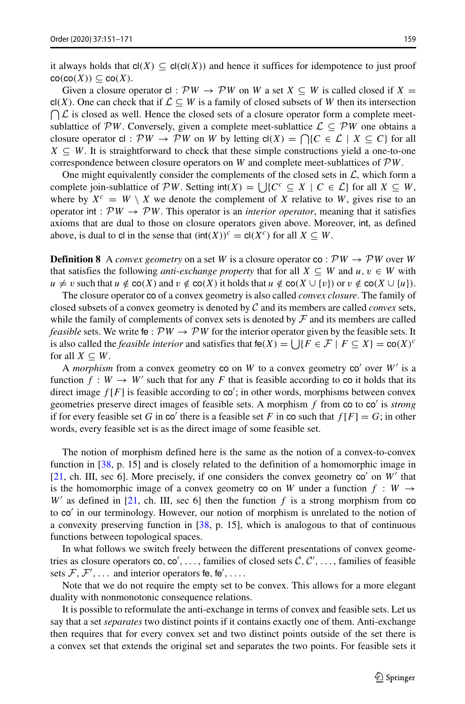it always holds that  $cl(X) \subseteq cl(cl(X))$  and hence it suffices for idempotence to just proof  $co(co(X)) \subseteq co(X)$ .

Given a closure operator cl :  $\mathcal{P}W \to \mathcal{P}W$  on *W* a set  $X \subseteq W$  is called closed if  $X =$  $\bigcap$  L is closed as well. Hence the closed sets of a closure operator form a complete meetcl(X). One can check that if  $\mathcal{L} \subseteq W$  is a family of closed subsets of W then its intersection sublattice of  $\mathcal{P}W$ . Conversely, given a complete meet-sublattice  $\mathcal{L} \subseteq \mathcal{P}W$  one obtains a closure operator cl :  $PW \to PW$  on *W* by letting  $cl(X) = \bigcap \{C \in L \mid X \subseteq C\}$  for all  $X \subseteq W$ . It is straightforward to check that these simple constructions yield a one-to-one correspondence between closure operators on *W* and complete meet-sublattices of  $\mathcal{P}W$ .

One might equivalently consider the complements of the closed sets in  $\mathcal{L}$ , which form a complete join-sublattice of  $\mathcal{P}W$ . Setting int $(X) = \bigcup \{C^c \subseteq X \mid C \in \mathcal{L}\}\$ for all  $X \subseteq W$ , where by  $X^c = W \setminus X$  we denote the complement of X relative to W, gives rise to an operator int :  $PW \rightarrow PW$ . This operator is an *interior operator*, meaning that it satisfies axioms that are dual to those on closure operators given above. Moreover, int, as defined above, is dual to cl in the sense that  $(int(X))^c = cl(X^c)$  for all  $X \subseteq W$ .

**Definition 8** A *convex geometry* on a set *W* is a closure operator  $\text{co}: \mathcal{P}W \rightarrow \mathcal{P}W$  over *W* that satisfies the following *anti-exchange property* that for all  $X \subseteq W$  and  $u, v \in W$  with  $u \neq v$  such that  $u \notin \text{co}(X)$  and  $v \notin \text{co}(X)$  it holds that  $u \notin \text{co}(X \cup \{v\})$  or  $v \notin \text{co}(X \cup \{u\})$ .

The closure operator co of a convex geometry is also called *convex closure*. The family of closed subsets of a convex geometry is denoted by C and its members are called *convex* sets, while the family of complements of convex sets is denoted by  $\mathcal F$  and its members are called *feasible* sets. We write fe :  $\mathcal{P}W \rightarrow \mathcal{P}W$  for the interior operator given by the feasible sets. It is also called the *feasible interior* and satisfies that  $\text{fe}(X) = \iint \{F \in \mathcal{F} \mid F \subseteq X\} = \text{co}(X)^c$ for all  $X \subseteq W$ .

A *morphism* from a convex geometry co on  $W$  to a convex geometry  $\text{co}'$  over  $W'$  is a function  $f : W \to W'$  such that for any F that is feasible according to co it holds that its direct image  $f[F]$  is feasible according to  $\text{co}'$ ; in other words, morphisms between convex geometries preserve direct images of feasible sets. A morphism *f* from co to co' is *strong* if for every feasible set *G* in co' there is a feasible set *F* in co such that  $f[F] = G$ ; in other words, every feasible set is as the direct image of some feasible set.

The notion of morphism defined here is the same as the notion of a convex-to-convex function in [\[38,](#page-20-3) p. 15] and is closely related to the definition of a homomorphic image in [\[21,](#page-19-11) ch. III, sec 6]. More precisely, if one considers the convex geometry  $\mathbf{c}$  o<sup>'</sup> on *W'* that is the homomorphic image of a convex geometry co on *W* under a function  $f : W \rightarrow$  $W'$  as defined in [\[21,](#page-19-11) ch. III, sec 6] then the function f is a strong morphism from co to co' in our terminology. However, our notion of morphism is unrelated to the notion of a convexity preserving function in [\[38,](#page-20-3) p. 15], which is analogous to that of continuous functions between topological spaces.

In what follows we switch freely between the different presentations of convex geometries as closure operators co, co', ..., families of closed sets  $C, C', \ldots$ , families of feasible sets  $\mathcal{F}, \mathcal{F}', \ldots$  and interior operators fe, fe', ....

Note that we do not require the empty set to be convex. This allows for a more elegant duality with nonmonotonic consequence relations.

It is possible to reformulate the anti-exchange in terms of convex and feasible sets. Let us say that a set *separates* two distinct points if it contains exactly one of them. Anti-exchange then requires that for every convex set and two distinct points outside of the set there is a convex set that extends the original set and separates the two points. For feasible sets it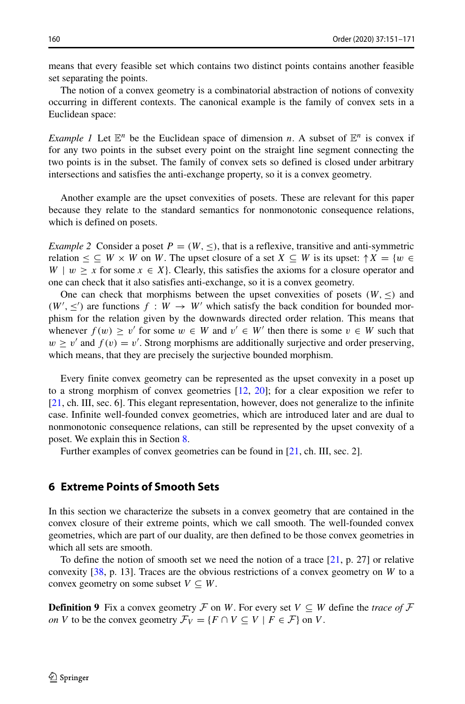means that every feasible set which contains two distinct points contains another feasible set separating the points.

The notion of a convex geometry is a combinatorial abstraction of notions of convexity occurring in different contexts. The canonical example is the family of convex sets in a Euclidean space:

*Example 1* Let  $\mathbb{E}^n$  be the Euclidean space of dimension *n*. A subset of  $\mathbb{E}^n$  is convex if for any two points in the subset every point on the straight line segment connecting the two points is in the subset. The family of convex sets so defined is closed under arbitrary intersections and satisfies the anti-exchange property, so it is a convex geometry.

Another example are the upset convexities of posets. These are relevant for this paper because they relate to the standard semantics for nonmonotonic consequence relations, which is defined on posets.

*Example 2* Consider a poset  $P = (W, \leq)$ , that is a reflexive, transitive and anti-symmetric relation  $\leq \subseteq W \times W$  on *W*. The upset closure of a set  $X \subseteq W$  is its upset:  $\uparrow X = \{w \in W\}$  $W \mid w \geq x$  for some  $x \in X$ . Clearly, this satisfies the axioms for a closure operator and one can check that it also satisfies anti-exchange, so it is a convex geometry.

One can check that morphisms between the upset convexities of posets  $(W, \leq)$  and  $(W', \leq')$  are functions  $f : W \to W'$  which satisfy the back condition for bounded morphism for the relation given by the downwards directed order relation. This means that whenever  $f(w) \geq v'$  for some  $w \in W$  and  $v' \in W'$  then there is some  $v \in W$  such that  $w \ge v'$  and  $f(v) = v'$ . Strong morphisms are additionally surjective and order preserving, which means, that they are precisely the surjective bounded morphism.

Every finite convex geometry can be represented as the upset convexity in a poset up to a strong morphism of convex geometries [\[12,](#page-19-30) [20\]](#page-19-31); for a clear exposition we refer to [\[21,](#page-19-11) ch. III, sec. 6]. This elegant representation, however, does not generalize to the infinite case. Infinite well-founded convex geometries, which are introduced later and are dual to nonmonotonic consequence relations, can still be represented by the upset convexity of a poset. We explain this in Section [8.](#page-17-0)

Further examples of convex geometries can be found in [\[21,](#page-19-11) ch. III, sec. 2].

## <span id="page-9-0"></span>**6 Extreme Points of Smooth Sets**

In this section we characterize the subsets in a convex geometry that are contained in the convex closure of their extreme points, which we call smooth. The well-founded convex geometries, which are part of our duality, are then defined to be those convex geometries in which all sets are smooth.

To define the notion of smooth set we need the notion of a trace  $[21, p. 27]$  $[21, p. 27]$  or relative convexity [\[38,](#page-20-3) p. 13]. Traces are the obvious restrictions of a convex geometry on *W* to a convex geometry on some subset  $V \subseteq W$ .

**Definition 9** Fix a convex geometry F on *W*. For every set  $V \subseteq W$  define the *trace of* F *on V* to be the convex geometry  $\mathcal{F}_V = \{F \cap V \subseteq V \mid F \in \mathcal{F}\}\$  on *V*.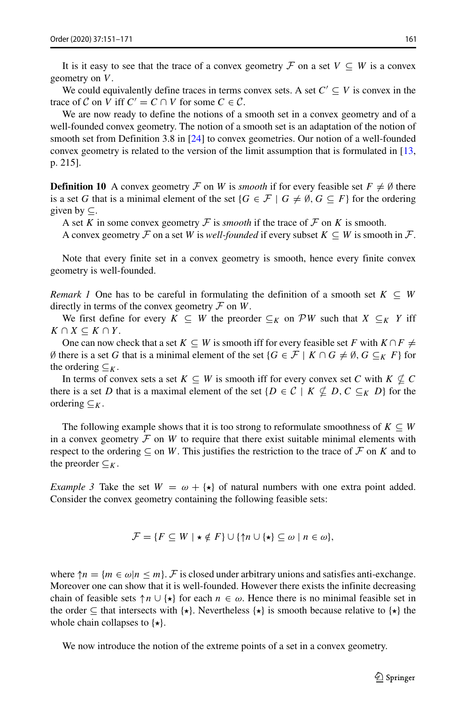It is it easy to see that the trace of a convex geometry  $\mathcal F$  on a set  $V \subseteq W$  is a convex geometry on *V* .

We could equivalently define traces in terms convex sets. A set  $C' \subseteq V$  is convex in the trace of C on V iff  $C' = C \cap V$  for some  $C \in C$ .

We are now ready to define the notions of a smooth set in a convex geometry and of a well-founded convex geometry. The notion of a smooth set is an adaptation of the notion of smooth set from Definition 3.8 in [\[24\]](#page-19-0) to convex geometries. Our notion of a well-founded convex geometry is related to the version of the limit assumption that is formulated in [\[13,](#page-19-15) p. 215].

**Definition 10** A convex geometry  $\mathcal F$  on *W* is *smooth* if for every feasible set  $F \neq \emptyset$  there is a set *G* that is a minimal element of the set  $\{G \in \mathcal{F} \mid G \neq \emptyset, G \subseteq F\}$  for the ordering given by  $\subset$ .

A set *K* in some convex geometry  $\mathcal F$  is *smooth* if the trace of  $\mathcal F$  on  $K$  is smooth.

A convex geometry  $\mathcal F$  on a set *W* is *well-founded* if every subset  $K \subseteq W$  is smooth in  $\mathcal F$ .

Note that every finite set in a convex geometry is smooth, hence every finite convex geometry is well-founded.

*Remark 1* One has to be careful in formulating the definition of a smooth set  $K \subseteq W$ directly in terms of the convex geometry  $\mathcal F$  on  $W$ .

We first define for every  $K \subseteq W$  the preorder  $\subseteq_K$  on PW such that  $X \subseteq_K Y$  iff  $K \cap X \subseteq K \cap Y$ .

One can now check that a set  $K \subseteq W$  is smooth iff for every feasible set *F* with  $K \cap F \neq$ Ø there is a set *G* that is a minimal element of the set {*G* ∈  $F$  |  $K \cap G \neq \emptyset$ , *G* ⊆  $K$  *F*} for the ordering  $\subseteq_K$ .

In terms of convex sets a set  $K \subseteq W$  is smooth iff for every convex set *C* with  $K \nsubseteq C$ there is a set *D* that is a maximal element of the set  $\{D \in C \mid K \nsubseteq D, C \subseteq_K D\}$  for the ordering ⊆*K*.

The following example shows that it is too strong to reformulate smoothness of  $K \subseteq W$ in a convex geometry  $F$  on  $W$  to require that there exist suitable minimal elements with respect to the ordering  $\subseteq$  on *W*. This justifies the restriction to the trace of  $\mathcal F$  on *K* and to the preorder  $\subseteq_K$ .

*Example 3* Take the set  $W = \omega + \{ \star \}$  of natural numbers with one extra point added. Consider the convex geometry containing the following feasible sets:

$$
\mathcal{F} = \{ F \subseteq W \mid \star \notin F \} \cup \{ \uparrow n \cup \{\star\} \subseteq \omega \mid n \in \omega \},\
$$

where  $\uparrow n = \{m \in \omega | n \leq m\}$ . F is closed under arbitrary unions and satisfies anti-exchange. Moreover one can show that it is well-founded. However there exists the infinite decreasing chain of feasible sets  $\uparrow n \cup {\star}$  for each  $n \in \omega$ . Hence there is no minimal feasible set in the order  $\subseteq$  that intersects with  $\{\star\}$ . Nevertheless  $\{\star\}$  is smooth because relative to  $\{\star\}$  the whole chain collapses to  $\{\star\}.$ 

We now introduce the notion of the extreme points of a set in a convex geometry.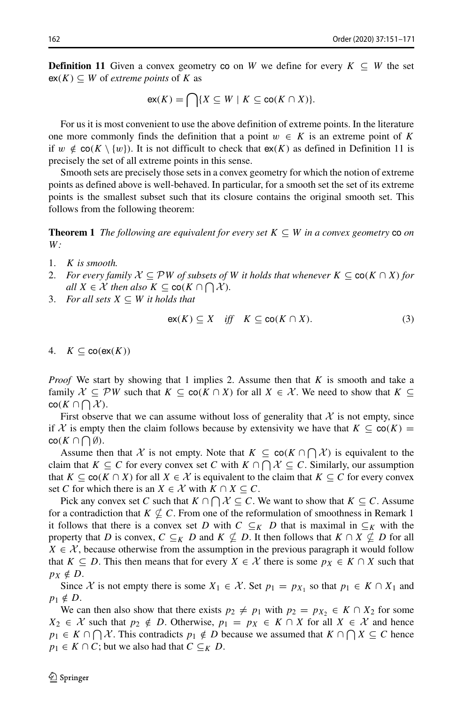**Definition 11** Given a convex geometry co on *W* we define for every  $K \subseteq W$  the set  $ex(K) ⊆ W$  of *extreme points* of *K* as

$$
\mathsf{ex}(K) = \bigcap \{ X \subseteq W \mid K \subseteq \mathsf{co}(K \cap X) \}.
$$

For us it is most convenient to use the above definition of extreme points. In the literature one more commonly finds the definition that a point  $w \in K$  is an extreme point of K if *w*  $\notin$  co( $K \setminus \{w\}$ ). It is not difficult to check that  $ex(K)$  as defined in Definition 11 is precisely the set of all extreme points in this sense.

Smooth sets are precisely those sets in a convex geometry for which the notion of extreme points as defined above is well-behaved. In particular, for a smooth set the set of its extreme points is the smallest subset such that its closure contains the original smooth set. This follows from the following theorem:

**Theorem 1** *The following are equivalent for every set*  $K \subseteq W$  *in a convex geometry* co *on W:*

- 1. *K is smooth.*
- 2. *For every family*  $\mathcal{X} \subseteq \mathcal{P}W$  *of subsets of W it holds that whenever*  $K \subseteq \text{co}(K \cap X)$  *for*  $all X \in \mathcal{X}$  *then also*  $K \subseteq \text{co}(K \cap \bigcap \mathcal{X})$ *.*
- 3. *For all sets*  $X \subseteq W$  *it holds that*

<span id="page-11-0"></span>
$$
\operatorname{ex}(K) \subseteq X \quad \text{iff} \quad K \subseteq \operatorname{co}(K \cap X). \tag{3}
$$

4.  $K \subset \text{co}(\text{ex}(K))$ 

*Proof* We start by showing that 1 implies 2. Assume then that *K* is smooth and take a family  $X \subseteq \mathcal{P}W$  such that  $K \subseteq \text{co}(K \cap X)$  for all  $X \in \mathcal{X}$ . We need to show that  $K \subseteq$  $\mathsf{co}(K \cap \bigcap_{\alpha} \mathcal{X}).$ 

First observe that we can assume without loss of generality that  $X$  is not empty, since if X is empty then the claim follows because by extensivity we have that  $K \subseteq \text{co}(K) =$  $\mathsf{co}(K \cap \bigcap \emptyset).$ 

Assume then that  $\mathcal X$  is not empty. Note that  $K \subseteq \text{co}(K \cap \bigcap \mathcal X)$  is equivalent to the claim that  $K \subseteq C$  for every convex set *C* with  $K \cap \bigcap \mathcal{X} \subseteq C$ . Similarly, our assumption that  $K \subseteq \text{co}(K \cap X)$  for all  $X \in \mathcal{X}$  is equivalent to the claim that  $K \subseteq C$  for every convex set *C* for which there is an  $X \in \mathcal{X}$  with  $K \cap X \subseteq C$ .

Pick any convex set *C* such that  $K \cap \bigcap \mathcal{X} \subseteq C$ . We want to show that  $K \subseteq C$ . Assume for a contradiction that  $K \nsubseteq C$ . From one of the reformulation of smoothness in Remark 1 it follows that there is a convex set *D* with  $C \subseteq_K D$  that is maximal in  $\subseteq_K$  with the property that *D* is convex,  $C \subseteq_K D$  and  $K \nsubseteq D$ . It then follows that  $K \cap X \nsubseteq D$  for all  $X \in \mathcal{X}$ , because otherwise from the assumption in the previous paragraph it would follow that  $K \subseteq D$ . This then means that for every  $X \in \mathcal{X}$  there is some  $p_X \in K \cap X$  such that  $p_X \notin D$ .

Since X is not empty there is some  $X_1 \in \mathcal{X}$ . Set  $p_1 = p_{X_1}$  so that  $p_1 \in K \cap X_1$  and  $p_1 \notin D$ .

We can then also show that there exists  $p_2 \neq p_1$  with  $p_2 = p_{X_2} \in K \cap X_2$  for some *X*<sub>2</sub> ∈ *X* such that  $p_2 \notin D$ . Otherwise,  $p_1 = p_X \in K \cap X$  for all  $X \in \mathcal{X}$  and hence *p*<sub>1</sub> ∈ *K* ∩  $\bigcap$  *X*. This contradicts *p*<sub>1</sub> ∉ *D* because we assumed that *K* ∩  $\bigcap$  *X* ⊆ *C* hence  $p_1 \in K \cap C$ ; but we also had that  $C \subseteq_K D$ .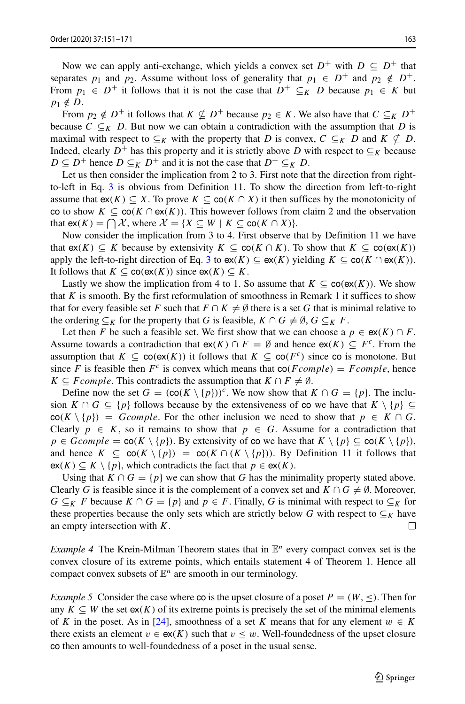Now we can apply anti-exchange, which yields a convex set  $D^+$  with  $D \subseteq D^+$  that separates *p*<sub>1</sub> and *p*<sub>2</sub>. Assume without loss of generality that  $p_1 \in D^+$  and  $p_2 \notin D^+$ . From  $p_1 \in D^+$  it follows that it is not the case that  $D^+ \subseteq_K D$  because  $p_1 \in K$  but  $p_1 \notin D$ .

From  $p_2 \notin D^+$  it follows that  $K \nsubseteq D^+$  because  $p_2 \in K$ . We also have that  $C \subseteq_K D^+$ because  $C \subseteq_K D$ . But now we can obtain a contradiction with the assumption that *D* is maximal with respect to  $\subseteq_K$  with the property that *D* is convex,  $C \subseteq_K D$  and  $K \nsubseteq D$ . Indeed, clearly  $D^+$  has this property and it is strictly above *D* with respect to  $\subseteq_K$  because *D* ⊆ *D*<sup>+</sup> hence *D* ⊆*K D*<sup>+</sup> and it is not the case that *D*<sup>+</sup> ⊆*K D*.

Let us then consider the implication from 2 to 3. First note that the direction from rightto-left in Eq. [3](#page-11-0) is obvious from Definition 11. To show the direction from left-to-right assume that  $ex(K) \subseteq X$ . To prove  $K \subseteq co(K \cap X)$  it then suffices by the monotonicity of co to show  $K \subseteq \text{co}(K \cap \text{ex}(K))$ . This however follows from claim 2 and the observation that  $ex(K) = \bigcap \mathcal{X}$ , where  $\mathcal{X} = \{X \subseteq W \mid K \subseteq co(K \cap X)\}.$ 

Now consider the implication from 3 to 4. First observe that by Definition 11 we have that  $ex(K) \subseteq K$  because by extensivity  $K \subseteq co(K \cap K)$ . To show that  $K ⊆ co(ex(K))$ apply the left-to-right direction of Eq. [3](#page-11-0) to  $ex(K) \subseteq ex(K)$  yielding  $K \subseteq co(K \cap ex(K))$ . It follows that  $K \subseteq \text{co}(\text{ex}(K))$  since  $\text{ex}(K) \subseteq K$ .

Lastly we show the implication from 4 to 1. So assume that  $K \subseteq \text{co}(\text{ex}(K))$ . We show that  $K$  is smooth. By the first reformulation of smoothness in Remark 1 it suffices to show that for every feasible set *F* such that  $F \cap K \neq \emptyset$  there is a set *G* that is minimal relative to the ordering  $\subseteq_K$  for the property that *G* is feasible,  $K \cap G \neq \emptyset$ ,  $G \subseteq_K F$ .

Let then *F* be such a feasible set. We first show that we can choose a  $p \in ex(K) \cap F$ . Assume towards a contradiction that  $ex(K) \cap F = \emptyset$  and hence  $ex(K) \subseteq F^c$ . From the assumption that  $K \subseteq \text{co}(\text{ex}(K))$  it follows that  $K \subseteq \text{co}(F^c)$  since co is monotone. But since *F* is feasible then  $F^c$  is convex which means that  $co(Fcomplete) = Fcomplete$ , hence *K*  $\subseteq$  *F comple*. This contradicts the assumption that *K*  $\cap$  *F*  $\neq$  Ø.

Define now the set  $G = (\cot K \setminus \{p\})^c$ . We now show that  $K \cap G = \{p\}$ . The inclusion  $K \cap G \subseteq \{p\}$  follows because by the extensiveness of co we have that  $K \setminus \{p\} \subseteq$  $\cot(K \setminus \{p\}) = Gcomplete$ . For the other inclusion we need to show that  $p \in K \cap G$ . Clearly  $p \in K$ , so it remains to show that  $p \in G$ . Assume for a contradiction that  $p \in Gcomplete = \text{co}(K \setminus \{p\})$ . By extensivity of co we have that  $K \setminus \{p\} \subseteq \text{co}(K \setminus \{p\})$ , and hence  $K \subseteq \text{co}(K \setminus \{p\}) = \text{co}(K \cap (K \setminus \{p\}))$ . By Definition 11 it follows that  $ex(K) \subseteq K \setminus \{p\}$ , which contradicts the fact that  $p \in ex(K)$ .

Using that  $K \cap G = \{p\}$  we can show that *G* has the minimality property stated above. Clearly *G* is feasible since it is the complement of a convex set and  $K \cap G \neq \emptyset$ . Moreover, *G* ⊆*K F* because *K* ∩ *G* = {*p*} and *p* ∈ *F*. Finally, *G* is minimal with respect to ⊆*K* for these properties because the only sets which are strictly below *G* with respect to  $\subseteq_K$  have an empty intersection with *K*. an empty intersection with *K*.

*Example 4* The Krein-Milman Theorem states that in  $\mathbb{E}^n$  every compact convex set is the convex closure of its extreme points, which entails statement 4 of Theorem 1. Hence all compact convex subsets of  $\mathbb{E}^n$  are smooth in our terminology.

*Example 5* Consider the case where co is the upset closure of a poset  $P = (W, \leq)$ . Then for any  $K \subseteq W$  the set  $ex(K)$  of its extreme points is precisely the set of the minimal elements of *K* in the poset. As in [\[24\]](#page-19-0), smoothness of a set *K* means that for any element  $w \in K$ there exists an element  $v \in \mathsf{ex}(K)$  such that  $v \leq w$ . Well-foundedness of the upset closure co then amounts to well-foundedness of a poset in the usual sense.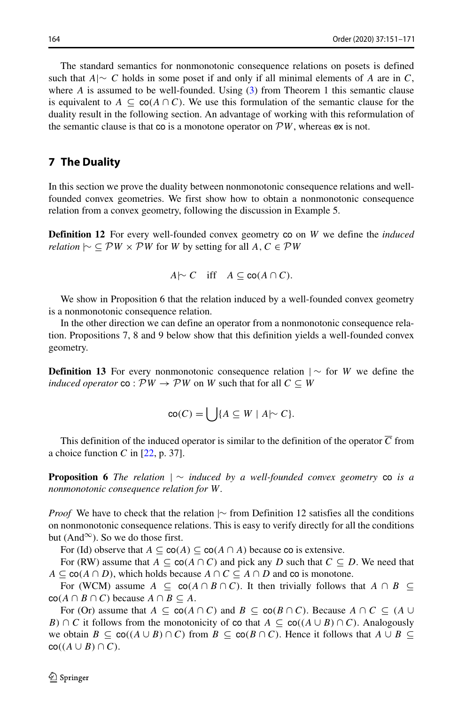The standard semantics for nonmonotonic consequence relations on posets is defined such that *A*|∼ *C* holds in some poset if and only if all minimal elements of *A* are in *C*, where *A* is assumed to be well-founded. Using [\(3\)](#page-11-0) from Theorem 1 this semantic clause is equivalent to  $A \subseteq \text{co}(A \cap C)$ . We use this formulation of the semantic clause for the duality result in the following section. An advantage of working with this reformulation of the semantic clause is that co is a monotone operator on  $\mathcal{P}W$ , whereas ex is not.

## <span id="page-13-0"></span>**7 The Duality**

In this section we prove the duality between nonmonotonic consequence relations and wellfounded convex geometries. We first show how to obtain a nonmonotonic consequence relation from a convex geometry, following the discussion in Example 5.

**Definition 12** For every well-founded convex geometry co on *W* we define the *induced relation*  $\vdash \subseteq \mathcal{P}W \times \mathcal{P}W$  for *W* by setting for all *A, C* ∈  $\mathcal{P}W$ 

$$
A \sim C \quad \text{iff} \quad A \subseteq \text{co}(A \cap C).
$$

We show in Proposition 6 that the relation induced by a well-founded convex geometry is a nonmonotonic consequence relation.

In the other direction we can define an operator from a nonmonotonic consequence relation. Propositions 7, 8 and 9 below show that this definition yields a well-founded convex geometry.

**Definition 13** For every nonmonotonic consequence relation  $\vert \sim$  for *W* we define the *induced operator* co :  $\mathcal{P}W \rightarrow \mathcal{P}W$  on *W* such that for all  $C \subseteq W$ 

$$
\operatorname{co}(C) = \bigcup \{ A \subseteq W \mid A \sim C \}.
$$

This definition of the induced operator is similar to the definition of the operator  $\overline{C}$  from a choice function  $C$  in  $[22, p. 37]$  $[22, p. 37]$ .

**Proposition 6** *The relation* | ∼ *induced by a well-founded convex geometry* co *is a nonmonotonic consequence relation for W.*

*Proof* We have to check that the relation |∼ from Definition 12 satisfies all the conditions on nonmonotonic consequence relations. This is easy to verify directly for all the conditions but (And<sup>∞</sup>). So we do those first.

For (Id) observe that  $A \subseteq \text{co}(A) \subseteq \text{co}(A \cap A)$  because co is extensive.

For (RW) assume that  $A \subseteq \text{co}(A \cap C)$  and pick any *D* such that  $C \subseteq D$ . We need that *A* ⊆ co(*A* ∩ *D*), which holds because *A* ∩ *C* ⊆ *A* ∩ *D* and co is monotone.

For (WCM) assume  $A \subseteq \text{co}(A \cap B \cap C)$ . It then trivially follows that  $A \cap B \subseteq$  $\operatorname{co}(A \cap B \cap C)$  because  $A \cap B \subseteq A$ .

For (Or) assume that  $A \subseteq \text{co}(A \cap C)$  and  $B \subseteq \text{co}(B \cap C)$ . Because  $A \cap C \subseteq (A \cup C)$ *B*)  $\cap$  *C* it follows from the monotonicity of co that  $A \subseteq co((A \cup B) \cap C)$ . Analogously we obtain  $B \subseteq \text{co}((A \cup B) \cap C)$  from  $B \subseteq \text{co}(B \cap C)$ . Hence it follows that  $A \cup B \subseteq$  $co((A \cup B) \cap C).$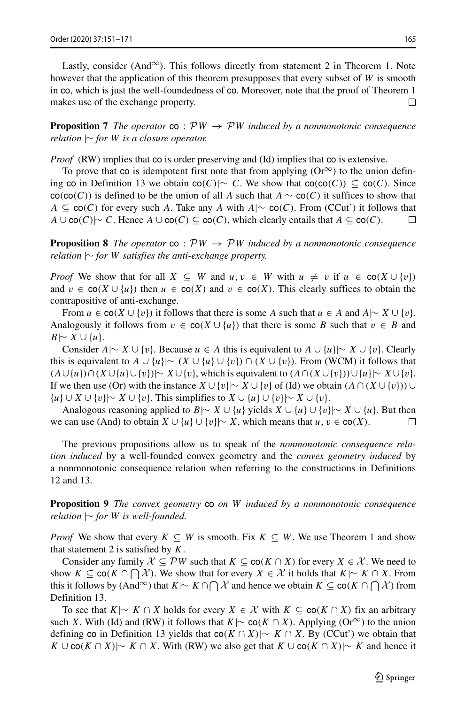**Proposition 7** *The operator* co :  $PW \rightarrow PW$  *induced by a nonmonotonic consequence relation* |∼ *for W is a closure operator.*

*Proof* (RW) implies that co is order preserving and (Id) implies that co is extensive.

To prove that co is idempotent first note that from applying  $(Or^{\infty})$  to the union defining co in Definition 13 we obtain co*(C)*|∼ *C*. We show that co*(*co*(C))* ⊆ co*(C)*. Since  $co$ ( $co$ ( $C$ )) is defined to be the union of all *A* such that *A*|∼  $co$ ( $C$ ) it suffices to show that *A* ⊆ co(*C*) for every such *A*. Take any *A* with *A*|∼ co(*C*). From (CCut') it follows that *A* ∪ co(*C*)) ∼ *C*. Hence *A* ∪ co(*C*) ⊂ co(*C*), which clearly entails that *A* ⊂ co(*C*). *A* ∪ co*(C)*|∼ *C*. Hence *A* ∪ co*(C)* ⊆ co*(C)*, which clearly entails that *A* ⊆ co*(C)*.

**Proposition 8** *The operator*  $\text{co}$  :  $\mathcal{P}W \rightarrow \mathcal{P}W$  *induced by a nonmonotonic consequence relation* |∼ *for W satisfies the anti-exchange property.*

*Proof* We show that for all  $X \subseteq W$  and  $u, v \in W$  with  $u \neq v$  if  $u \in \text{co}(X \cup \{v\})$ and  $v \in \text{co}(X \cup \{u\})$  then  $u \in \text{co}(X)$  and  $v \in \text{co}(X)$ . This clearly suffices to obtain the contrapositive of anti-exchange.

From *u* ∈ co(*X* ∪ {*v*}) it follows that there is some *A* such that *u* ∈ *A* and  $A$ |∼  $X$  ∪ {*v*}. Analogously it follows from  $v \in \text{co}(X \cup \{u\})$  that there is some *B* such that  $v \in B$  and *B*|∼ *X* ∪ {*u*}.

Consider *A*|∼ *X* ∪ {*v*}. Because *u* ∈ *A* this is equivalent to *A* ∪ {*u*}|∼ *X* ∪ {*v*}. Clearly this is equivalent to *A* ∪ {*u*}|∼  $(X \cup \{u\} \cup \{v\}) \cap (X \cup \{v\})$ . From (WCM) it follows that *(A*∪ {*u*} $\cap$  (*X*∪ {*u*}∪ {*v*}) $\mid \sim$  *X*∪ {*v*}, which is equivalent to  $(A \cap (X \cup \{v\}) \cup \{u\} \mid \sim X \cup \{v\}.$ If we then use (Or) with the instance  $X \cup \{v\} \sim X \cup \{v\}$  of (Id) we obtain  $(A \cap (X \cup \{v\}) \cup \{v\})$ {*u*} ∪ *X* ∪ {*v*}|∼ *X* ∪ {*v*}. This simplifies to *X* ∪ {*u*}∪{*v*}|∼ *X* ∪ {*v*}.

Analogous reasoning applied to  $B \sim X \cup \{u\}$  yields  $X \cup \{u\} \cup \{v\} \sim X \cup \{u\}$ . But then we can use (And) to obtain *X* ∪ {*u*}∪ {*v*}|∼ *X*, which means that *u*, *v* ∈ co(*X*).

The previous propositions allow us to speak of the *nonmonotonic consequence relation induced* by a well-founded convex geometry and the *convex geometry induced* by a nonmonotonic consequence relation when referring to the constructions in Definitions 12 and 13.

**Proposition 9** *The convex geometry* co *on W induced by a nonmonotonic consequence relation* |∼ *for W is well-founded.*

*Proof* We show that every  $K \subseteq W$  is smooth. Fix  $K \subseteq W$ . We use Theorem 1 and show that statement 2 is satisfied by *K*.

Consider any family  $\mathcal{X} \subseteq \mathcal{P}W$  such that  $K \subseteq \text{co}(K \cap X)$  for every  $X \in \mathcal{X}$ . We need to show  $K \subseteq \text{co}(K \cap \bigcap \mathcal{X})$ . We show that for every  $X \in \mathcal{X}$  it holds that  $K \sim K \cap X$ . From this it follows by (And<sup>∞</sup>) that  $K \sim K \cap \bigcap \mathcal{X}$  and hence we obtain  $K \subseteq \text{co}(K \cap \bigcap \mathcal{X})$  from Definition 13.

To see that  $K \sim K \cap X$  holds for every  $X \in \mathcal{X}$  with  $K \subseteq \text{co}(K \cap X)$  fix an arbitrary such *X*. With (Id) and (RW) it follows that  $K \sim \text{co}(K \cap X)$ . Applying (Or<sup>∞</sup>) to the union defining co in Definition 13 yields that co*(K* ∩ *X)*|∼ *K* ∩ *X*. By (CCut') we obtain that *K* ∪ co(*K* ∩ *X*)|∼ *K* ∩ *X*. With (RW) we also get that *K* ∪ co(*K* ∩ *X*)|∼ *K* and hence it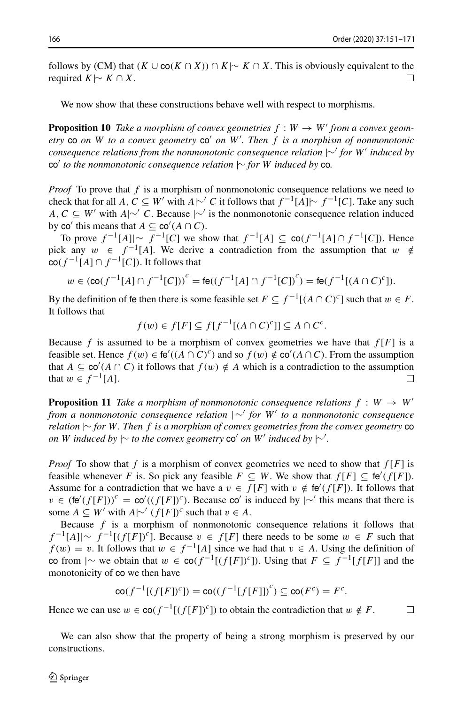$\Box$ 

follows by (CM) that  $(K \cup co(K \cap X)) \cap K \sim K \cap X$ . This is obviously equivalent to the required  $K \sim K \cap X$ required *K* |∼ *K* ∩ *X*.

We now show that these constructions behave well with respect to morphisms.

**Proposition 10** *Take a morphism of convex geometries*  $f : W \to W'$  *from a convex geometry*  $\cos$  *on*  $W$  *to a convex geometry*  $\cos'$  *on*  $W'$ *. Then*  $f$  *is a morphism of nonmonotonic consequence relations from the nonmonotonic consequence relation*  $|∼'$  *for W' induced by* co' *to the nonmonotonic consequence relation*  $\sim$  *for W induced by* co.

*Proof* To prove that f is a morphism of nonmonotonic consequence relations we need to check that for all *A, C* ⊆ *W'* with *A*|∼' *C* it follows that  $f^{-1}[A]$ |∼  $f^{-1}[C]$ . Take any such *A, C* ⊆ *W'* with *A*|∼' *C*. Because |∼' is the nonmonotonic consequence relation induced by co' this means that  $A \subseteq$  co' $(A \cap C)$ .

To prove  $f^{-1}[A]| \sim f^{-1}[C]$  we show that  $f^{-1}[A] \subseteq \text{co}(f^{-1}[A] \cap f^{-1}[C])$ . Hence pick any  $w \in f^{-1}[A]$ . We derive a contradiction from the assumption that  $w \notin$  $co(f^{-1}[A] ∩ f^{-1}[C])$ . It follows that

$$
w \in (\text{co}(f^{-1}[A] \cap f^{-1}[C]))^c = \text{fe}((f^{-1}[A] \cap f^{-1}[C])^c) = \text{fe}(f^{-1}[(A \cap C)^c]).
$$

By the definition of fe then there is some feasible set  $F \subseteq f^{-1}[(A \cap C)^c]$  such that  $w \in F$ . It follows that

*f*(*w*) ∈ *f*[*F*] ⊆ *f*[*f*<sup>-1</sup>[(*A* ∩ *C*)<sup>*c*</sup>]] ⊆ *A* ∩ *C<sup><i>c*</sup>.

Because *f* is assumed to be a morphism of convex geometries we have that  $f[F]$  is a feasible set. Hence  $f(w) \in \text{fe}'((A \cap C)^c)$  and so  $f(w) \notin \text{co}'(A \cap C)$ . From the assumption that  $A \subseteq \text{co}'(A \cap C)$  it follows that  $f(w) \notin A$  which is a contradiction to the assumption that  $w \in f^{-1}[A]$ .

**Proposition 11** *Take a morphism of nonmonotonic consequence relations*  $f : W \rightarrow W'$ *from a nonmonotonic consequence relation* |∼ *for W to a nonmonotonic consequence relation* |∼ *for W. Then f is a morphism of convex geometries from the convex geometry* co *on W induced by*  $\sim$  *to the convex geometry* co' *on W' induced by*  $\sim'$ *.* 

*Proof* To show that *f* is a morphism of convex geometries we need to show that *f* [*F*] is feasible whenever *F* is. So pick any feasible  $F \subseteq W$ . We show that  $f[F] \subseteq \text{fe}'(f[F])$ . Assume for a contradiction that we have a  $v \in f[F]$  with  $v \notin \text{te}'(f[F])$ . It follows that  $v \in (\text{fe}'(f[F]))^c = \text{co}'((f[F])^c)$ . Because co' is induced by  $| \sim'$  this means that there is some  $A \subseteq W'$  with  $A \sim (f[F])^c$  such that  $v \in A$ .

Because *f* is a morphism of nonmonotonic consequence relations it follows that *f*  $^{-1}[A]| \sim f^{-1}[(f[F])^c]$ . Because *v* ∈ *f* [*F*] there needs to be some *w* ∈ *F* such that  $f(w) = v$ . It follows that  $w \in f^{-1}[A]$  since we had that  $v \in A$ . Using the definition of co from  $|\sim$  we obtain that  $w \in \text{co}(f^{-1}[(f[F])^c])$ . Using that  $F \subseteq f^{-1}[f[F]]$  and the monotonicity of co we then have

$$
\operatorname{co}(f^{-1}[(f[F])^c]) = \operatorname{co}((f^{-1}[f[F]])^c) \subseteq \operatorname{co}(F^c) = F^c.
$$

Hence we can use  $w \in \text{co}(f^{-1}[(f[F])^c])$  to obtain the contradiction that  $w \notin F$ .

We can also show that the property of being a strong morphism is preserved by our constructions.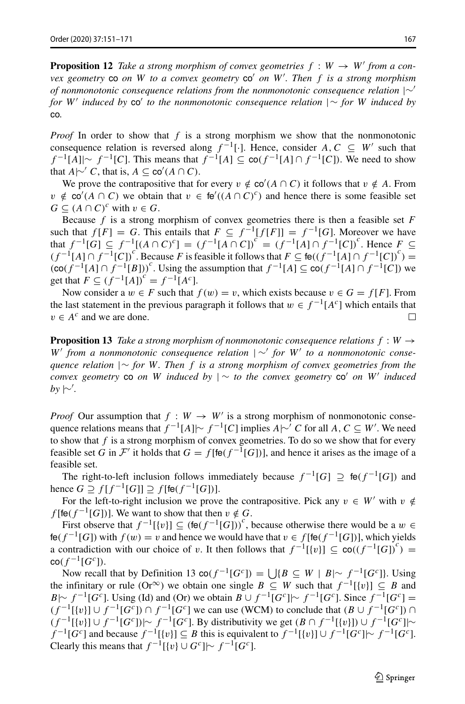**Proposition 12** *Take a strong morphism of convex geometries*  $f : W \rightarrow W'$  *from a convex geometry* co *on W to a convex geometry* co *on W . Then f is a strong morphism of nonmonotonic consequence relations from the nonmonotonic consequence relation*  $|∼'$ *for W'* induced by co' to the nonmonotonic consequence relation  $\vert \sim$  for *W* induced by co*.*

*Proof* In order to show that *f* is a strong morphism we show that the nonmonotonic consequence relation is reversed along  $f^{-1}[\cdot]$ . Hence, consider *A*,  $C \subseteq W'$  such that *f*  $^{-1}[A] \sim f^{-1}[C]$ . This means that  $f^{-1}[A] \subseteq \text{co}(f^{-1}[A] \cap f^{-1}[C])$ . We need to show that *A* $\uparrow \sim C$ , that is, *A* ⊆ co'(*A* ∩ *C*).

We prove the contrapositive that for every  $v \notin \mathbf{co}'(A \cap C)$  it follows that  $v \notin A$ . From *v* ∉ co'( $A \cap C$ ) we obtain that *v* ∈ fe'( $(A \cap C)^c$ ) and hence there is some feasible set *G* ⊆  $(A ∩ C)^c$  with  $v ∈ G$ .

Because *f* is a strong morphism of convex geometries there is then a feasible set *F* such that  $f[F] = G$ . This entails that  $F \subseteq f^{-1}[f[F]] = f^{-1}[G]$ . Moreover we have that  $f^{-1}[G] \subseteq f^{-1}[(A \cap C)^c] = (f^{-1}[A \cap C])^c = (f^{-1}[A] \cap f^{-1}[C])^c$ . Hence  $F \subseteq$  $(f^{-1}[A] \cap f^{-1}[C])^c$ . Because *F* is feasible it follows that  $F \subseteq \text{fe}((f^{-1}[A] \cap f^{-1}[C])^c)$  =  $(\cot f^{-1}[A] \cap f^{-1}[B])^c$ . Using the assumption that  $f^{-1}[A] \subseteq \cot(f^{-1}[A] \cap f^{-1}[C])$  we get that  $F \subseteq (f^{-1}[A])^c = f^{-1}[A^c].$ 

Now consider a  $w \in F$  such that  $f(w) = v$ , which exists because  $v \in G = f[F]$ . From the last statement in the previous paragraph it follows that *w* ∈  $f^{-1}[A^c]$  which entails that  $v \in A^c$  and we are done.  $v \in A^c$  and we are done.

**Proposition 13** *Take a strong morphism of nonmonotonic consequence relations*  $f : W \rightarrow$ *W from a nonmonotonic consequence relation* | ∼ *for W to a nonmonotonic consequence relation* |∼ *for W. Then f is a strong morphism of convex geometries from the convex geometry* co *on W induced by*  $| \sim$  *to the convex geometry* co' *on W*' *induced by* |∼ *.*

*Proof* Our assumption that  $f : W \to W'$  is a strong morphism of nonmonotonic consequence relations means that  $f^{-1}[A] \sim f^{-1}[C]$  implies  $A \sim C$  for all  $A, C \subseteq W'$ . We need to show that *f* is a strong morphism of convex geometries. To do so we show that for every feasible set *G* in  $\mathcal{F}'$  it holds that  $G = f[\text{fe}(f^{-1}[G])]$ , and hence it arises as the image of a feasible set.

The right-to-left inclusion follows immediately because  $f^{-1}[G] \supseteq f \cdot (f^{-1}[G])$  and hence *G*  $\supseteq$  *f* [*f*<sup>-1</sup>[*G*]]  $\supseteq$  *f* [fe(*f*<sup>-1</sup>[*G*])].

For the left-to-right inclusion we prove the contrapositive. Pick any  $v \in W'$  with  $v \notin$ *f* [fe $(f^{-1}[G])$ ]. We want to show that then  $v \notin G$ .

First observe that  $f^{-1}[\{v\}] \subseteq (\text{fe}(f^{-1}[G]))^c$ , because otherwise there would be a  $w \in$ fe $(f^{-1}[G])$  with  $f(w) = v$  and hence we would have that  $v \in f$  [fe $(f^{-1}[G])$ ], which yields a contradiction with our choice of *v*. It then follows that  $f^{-1}[\{v\}] \subseteq \text{co}((f^{-1}[G])^c)$  $co(f^{-1}[G^c]).$ 

Now recall that by Definition 13 co( $f^{-1}[G^c]$ ) = { $|{B \subseteq W | B} \sim f^{-1}[G^c]$ }. Using the infinitary or rule  $(Or^{\infty})$  we obtain one single  $B \subseteq W$  such that  $f^{-1}[\{v\}] \subseteq B$  and *B*|∼ *f*  $^{-1}[G^c]$ . Using (Id) and (Or) we obtain *B* ∪ *f*  $^{-1}[G^c]$ |∼  $f^{-1}[G^c]$ . Since  $f^{-1}[G^c]$  =  $(f^{-1}[\{v\}] \cup f^{-1}[G^c]) \cap f^{-1}[G^c]$  we can use (WCM) to conclude that  $(B \cup f^{-1}[G^c]) \cap$  $(f^{-1}[\{v\}]\cup f^{-1}[G^c])\sim f^{-1}[G^c]$ . By distributivity we get  $(B\cap f^{-1}[\{v\}])\cup f^{-1}[G^c]\sim$  $f^{-1}[G^c]$  and because  $f^{-1}[\{v\}] \subseteq B$  this is equivalent to  $f^{-1}[\{v\}] \cup f^{-1}[G^c] \sim f^{-1}[G^c]$ . Clearly this means that  $f^{-1}[\lbrace v \rbrace \cup G^c] \sim f^{-1}[G^c]$ .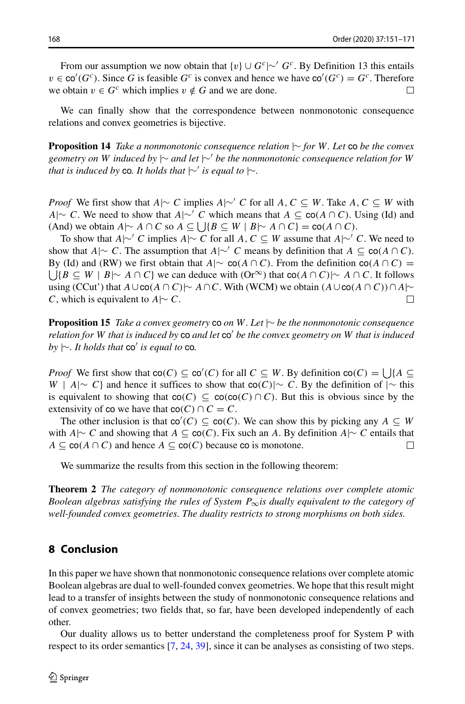From our assumption we now obtain that  $\{v\} \cup G^c \sim G^c$ . By Definition 13 this entails  $v \in \text{co}'(G^c)$ . Since *G* is feasible *G<sup>c</sup>* is convex and hence we have  $\text{co}'(G^c) = G^c$ . Therefore we obtain  $v \in G^c$  which implies  $v \notin G$  and we are done.

We can finally show that the correspondence between nonmonotonic consequence relations and convex geometries is bijective.

**Proposition 14** *Take a nonmonotonic consequence relation* |∼ *for W. Let* co *be the convex geometry on W induced by* |∼ *and let* |∼ *be the nonmonotonic consequence relation for W that is induced by* co. It holds that  $\sim'$  *is equal to*  $\sim$ *.* 

*Proof* We first show that *A*|∼ *C* implies *A*|∼' *C* for all *A, C* ⊆ *W*. Take *A, C* ⊆ *W* with *A*|∼ *C*. We need to show that *A*|∼ *C* which means that *A* ⊆ co*(A* ∩ *C)*. Using (Id) and (And) we obtain  $A \sim A \cap C$  so  $A \subseteq \bigcup \{ B \subseteq W \mid B \sim A \cap C \} = \text{co}(A \cap C)$ .

To show that *A*|∼ *C* implies *A*|∼ *C* for all *A, C* ⊆ *W* assume that *A*|∼ *C*. We need to show that *A*|∼ *C*. The assumption that *A*|∼' *C* means by definition that *A* ⊆ co(*A* ∩ *C*).  $\bigcup \{B \subseteq W \mid B \mid \sim A \cap C\}$  we can deduce with  $(Or^{\infty})$  that  $co(A \cap C) \mid \sim A \cap C$ . It follows By (Id) and (RW) we first obtain that *A*| $\sim$  co(*A* ∩ *C*). From the definition co(*A* ∩ *C*) = using (CCut') that *A*∪co(*A* ∩ *C*)|∼ *A*∩*C*. With (WCM) we obtain  $(A \cup \text{co}(A \cap C)) \cap A \sim C$ . With is equivalent to *A*|∼ *C*. *C*, which is equivalent to *A*|∼ *C*.

**Proposition 15** *Take a convex geometry* co *on W. Let* |∼ *be the nonmonotonic consequence relation for W that is induced by* co *and let* co' *be the convex geometry on W that is induced*  $by \sim$ *. It holds that* co' *is equal to* co.

*Proof* We first show that  $co(C) \subseteq co'(C)$  for all  $C \subseteq W$ . By definition  $co(C) = \bigcup \{A \subseteq C\}$ *W* | *A*|∼ *C*} and hence it suffices to show that co(*C*)|∼ *C*. By the definition of |∼ this is equivalent to showing that  $co(C) \subseteq co(co(C) \cap C)$ . But this is obvious since by the extensivity of co we have that  $co(C) \cap C = C$ .

The other inclusion is that  $\text{co}'(C) \subseteq \text{co}(C)$ . We can show this by picking any  $A \subseteq W$ with *A*|∼ *C* and showing that *A* ⊆ co(*C*). Fix such an *A*. By definition *A*|∼ *C* entails that  $A \subseteq co(A \cap C)$  and hence  $A \subseteq co(C)$  because co is monotone. *A* ⊆ co(*A* ∩ *C*) and hence *A* ⊆ co(*C*) because co is monotone.

We summarize the results from this section in the following theorem:

**Theorem 2** *The category of nonmonotonic consequence relations over complete atomic Boolean algebras satisfying the rules of System P*∞*is dually equivalent to the category of well-founded convex geometries. The duality restricts to strong morphisms on both sides.*

## <span id="page-17-0"></span>**8 Conclusion**

In this paper we have shown that nonmonotonic consequence relations over complete atomic Boolean algebras are dual to well-founded convex geometries. We hope that this result might lead to a transfer of insights between the study of nonmonotonic consequence relations and of convex geometries; two fields that, so far, have been developed independently of each other.

Our duality allows us to better understand the completeness proof for System P with respect to its order semantics [\[7,](#page-19-1) [24,](#page-19-0) [39\]](#page-20-0), since it can be analyses as consisting of two steps.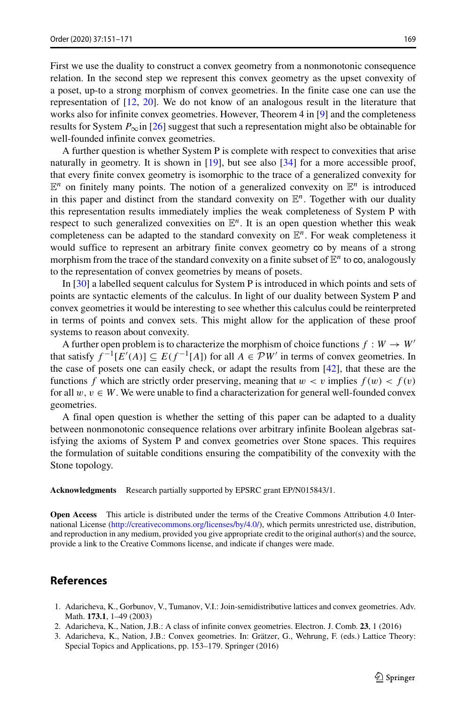First we use the duality to construct a convex geometry from a nonmonotonic consequence relation. In the second step we represent this convex geometry as the upset convexity of a poset, up-to a strong morphism of convex geometries. In the finite case one can use the representation of [\[12,](#page-19-30) [20\]](#page-19-31). We do not know of an analogous result in the literature that works also for infinite convex geometries. However, Theorem 4 in [\[9\]](#page-19-22) and the completeness results for System  $P_{\infty}$ in [\[26\]](#page-19-24) suggest that such a representation might also be obtainable for well-founded infinite convex geometries.

A further question is whether System P is complete with respect to convexities that arise naturally in geometry. It is shown in [\[19\]](#page-19-32), but see also [\[34\]](#page-19-33) for a more accessible proof, that every finite convex geometry is isomorphic to the trace of a generalized convexity for  $\mathbb{E}^n$  on finitely many points. The notion of a generalized convexity on  $\mathbb{E}^n$  is introduced in this paper and distinct from the standard convexity on  $E<sup>n</sup>$ . Together with our duality this representation results immediately implies the weak completeness of System P with respect to such generalized convexities on  $\mathbb{E}^n$ . It is an open question whether this weak completeness can be adapted to the standard convexity on  $\mathbb{E}^n$ . For weak completeness it would suffice to represent an arbitrary finite convex geometry co by means of a strong morphism from the trace of the standard convexity on a finite subset of  $\mathbb{E}^n$  to co, analogously to the representation of convex geometries by means of posets.

In [\[30\]](#page-19-6) a labelled sequent calculus for System P is introduced in which points and sets of points are syntactic elements of the calculus. In light of our duality between System P and convex geometries it would be interesting to see whether this calculus could be reinterpreted in terms of points and convex sets. This might allow for the application of these proof systems to reason about convexity.

A further open problem is to characterize the morphism of choice functions  $f : W \to W'$ that satisfy  $f^{-1}[E'(A)] \subseteq E(f^{-1}[A])$  for all *A* ∈  $\mathcal{P}W'$  in terms of convex geometries. In the case of posets one can easily check, or adapt the results from [\[42\]](#page-20-1), that these are the functions *f* which are strictly order preserving, meaning that  $w < v$  implies  $f(w) < f(v)$ for all  $w, v \in W$ . We were unable to find a characterization for general well-founded convex geometries.

A final open question is whether the setting of this paper can be adapted to a duality between nonmonotonic consequence relations over arbitrary infinite Boolean algebras satisfying the axioms of System P and convex geometries over Stone spaces. This requires the formulation of suitable conditions ensuring the compatibility of the convexity with the Stone topology.

**Acknowledgments** Research partially supported by EPSRC grant EP/N015843/1.

**Open Access** This article is distributed under the terms of the Creative Commons Attribution 4.0 International License [\(http://creativecommons.org/licenses/by/4.0/\)](http://creativecommons.org/licenses/by/4.0/), which permits unrestricted use, distribution, and reproduction in any medium, provided you give appropriate credit to the original author(s) and the source, provide a link to the Creative Commons license, and indicate if changes were made.

#### **References**

- <span id="page-18-1"></span>1. Adaricheva, K., Gorbunov, V., Tumanov, V.I.: Join-semidistributive lattices and convex geometries. Adv. Math. **173.1**, 1–49 (2003)
- <span id="page-18-2"></span>2. Adaricheva, K., Nation, J.B.: A class of infinite convex geometries. Electron. J. Comb. **23**, 1 (2016)
- <span id="page-18-0"></span>3. Adaricheva, K., Nation, J.B.: Convex geometries. In: Gratzer, G., Wehrung, F. (eds.) Lattice Theory: ¨ Special Topics and Applications, pp. 153–179. Springer (2016)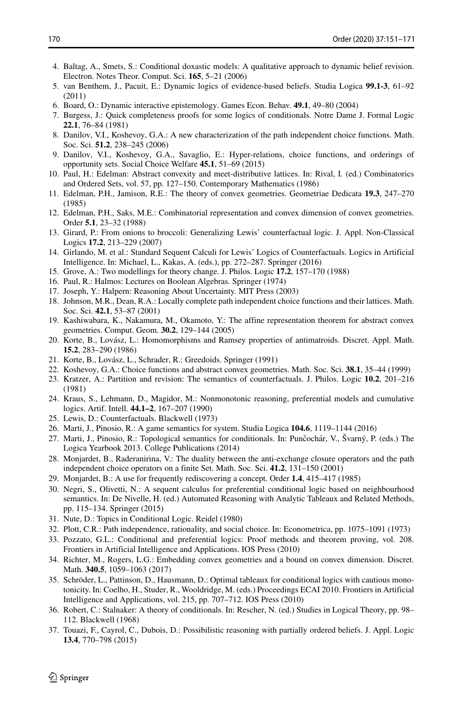- <span id="page-19-3"></span>4. Baltag, A., Smets, S.: Conditional doxastic models: A qualitative approach to dynamic belief revision. Electron. Notes Theor. Comput. Sci. **165**, 5–21 (2006)
- <span id="page-19-14"></span>5. van Benthem, J., Pacuit, E.: Dynamic logics of evidence-based beliefs. Studia Logica **99.1-3**, 61–92 (2011)
- <span id="page-19-4"></span>6. Board, O.: Dynamic interactive epistemology. Games Econ. Behav. **49.1**, 49–80 (2004)
- <span id="page-19-1"></span>7. Burgess, J.: Quick completeness proofs for some logics of conditionals. Notre Dame J. Formal Logic **22.1**, 76–84 (1981)
- <span id="page-19-21"></span>8. Danilov, V.I., Koshevoy, G.A.: A new characterization of the path independent choice functions. Math. Soc. Sci. **51.2**, 238–245 (2006)
- <span id="page-19-22"></span>9. Danilov, V.I., Koshevoy, G.A., Savaglio, E.: Hyper-relations, choice functions, and orderings of opportunity sets. Social Choice Welfare **45.1**, 51–69 (2015)
- <span id="page-19-9"></span>10. Paul, H.: Edelman: Abstract convexity and meet-distributive lattices. In: Rival, I. (ed.) Combinatorics and Ordered Sets, vol. 57, pp. 127–150. Contemporary Mathematics (1986)
- <span id="page-19-10"></span>11. Edelman, P.H., Jamison, R.E.: The theory of convex geometries. Geometriae Dedicata **19.3**, 247–270 (1985)
- <span id="page-19-30"></span>12. Edelman, P.H., Saks, M.E.: Combinatorial representation and convex dimension of convex geometries. Order **5.1**, 23–32 (1988)
- <span id="page-19-15"></span>13. Girard, P.: From onions to broccoli: Generalizing Lewis' counterfactual logic. J. Appl. Non-Classical Logics **17.2**, 213–229 (2007)
- <span id="page-19-27"></span>14. Girlando, M. et al.: Standard Sequent Calculi for Lewis' Logics of Counterfactuals. Logics in Artificial Intelligence. In: Michael, L., Kakas, A. (eds.), pp. 272–287. Springer (2016)
- <span id="page-19-5"></span>15. Grove, A.: Two modellings for theory change. J. Philos. Logic **17.2**, 157–170 (1988)
- <span id="page-19-23"></span>16. Paul, R.: Halmos: Lectures on Boolean Algebras. Springer (1974)
- <span id="page-19-28"></span>17. Joseph, Y.: Halpern: Reasoning About Uncertainty. MIT Press (2003)
- <span id="page-19-19"></span>18. Johnson, M.R., Dean, R.A.: Locally complete path independent choice functions and their lattices. Math. Soc. Sci. **42.1**, 53–87 (2001)
- <span id="page-19-32"></span>19. Kashiwabara, K., Nakamura, M., Okamoto, Y.: The affine representation theorem for abstract convex geometries. Comput. Geom. **30.2**, 129–144 (2005)
- <span id="page-19-31"></span>20. Korte, B., Lovasz, L.: Homomorphisms and Ramsey properties of antimatroids. Discret. Appl. Math. ´ **15.2**, 283–290 (1986)
- <span id="page-19-11"></span>21. Korte, B., Lovász, L., Schrader, R.: Greedoids. Springer (1991)
- <span id="page-19-18"></span>22. Koshevoy, G.A.: Choice functions and abstract convex geometries. Math. Soc. Sci. **38.1**, 35–44 (1999)
- <span id="page-19-13"></span>23. Kratzer, A.: Partition and revision: The semantics of counterfactuals. J. Philos. Logic **10.2**, 201–216 (1981)
- <span id="page-19-0"></span>24. Kraus, S., Lehmann, D., Magidor, M.: Nonmonotonic reasoning, preferential models and cumulative logics. Artif. Intell. **44.1–2**, 167–207 (1990)
- <span id="page-19-2"></span>25. Lewis, D.: Counterfactuals. Blackwell (1973)
- <span id="page-19-24"></span>26. Marti, J., Pinosio, R.: A game semantics for system. Studia Logica **104.6**, 1119–1144 (2016)
- <span id="page-19-16"></span>27. Marti, J., Pinosio, R.: Topological semantics for conditionals. In: Punčochár, V., Švarný, P. (eds.) The Logica Yearbook 2013. College Publications (2014)
- <span id="page-19-20"></span>28. Monjardet, B., Raderanirina, V.: The duality between the anti-exchange closure operators and the path independent choice operators on a finite Set. Math. Soc. Sci. **41.2**, 131–150 (2001)
- <span id="page-19-12"></span>29. Monjardet, B.: A use for frequently rediscovering a concept. Order **1.4**, 415–417 (1985)
- <span id="page-19-6"></span>30. Negri, S., Olivetti, N.: A sequent calculus for preferential conditional logic based on neighbourhood semantics. In: De Nivelle, H. (ed.) Automated Reasoning with Analytic Tableaux and Related Methods, pp. 115–134. Springer (2015)
- <span id="page-19-25"></span>31. Nute, D.: Topics in Conditional Logic. Reidel (1980)
- <span id="page-19-17"></span>32. Plott, C.R.: Path independence, rationality, and social choice. In: Econometrica, pp. 1075–1091 (1973)
- <span id="page-19-7"></span>33. Pozzato, G.L.: Conditional and preferential logics: Proof methods and theorem proving, vol. 208. Frontiers in Artificial Intelligence and Applications. IOS Press (2010)
- <span id="page-19-33"></span>34. Richter, M., Rogers, L.G.: Embedding convex geometries and a bound on convex dimension. Discret. Math. **340.5**, 1059–1063 (2017)
- <span id="page-19-8"></span>35. Schroder, L., Pattinson, D., Hausmann, D.: Optimal tableaux for conditional logics with cautious mono- ¨ tonicity. In: Coelho, H., Studer, R., Wooldridge, M. (eds.) Proceedings ECAI 2010. Frontiers in Artificial Intelligence and Applications, vol. 215, pp. 707–712. IOS Press (2010)
- <span id="page-19-26"></span>36. Robert, C.: Stalnaker: A theory of conditionals. In: Rescher, N. (ed.) Studies in Logical Theory, pp. 98– 112. Blackwell (1968)
- <span id="page-19-29"></span>37. Touazi, F., Cayrol, C., Dubois, D.: Possibilistic reasoning with partially ordered beliefs. J. Appl. Logic **13.4**, 770–798 (2015)